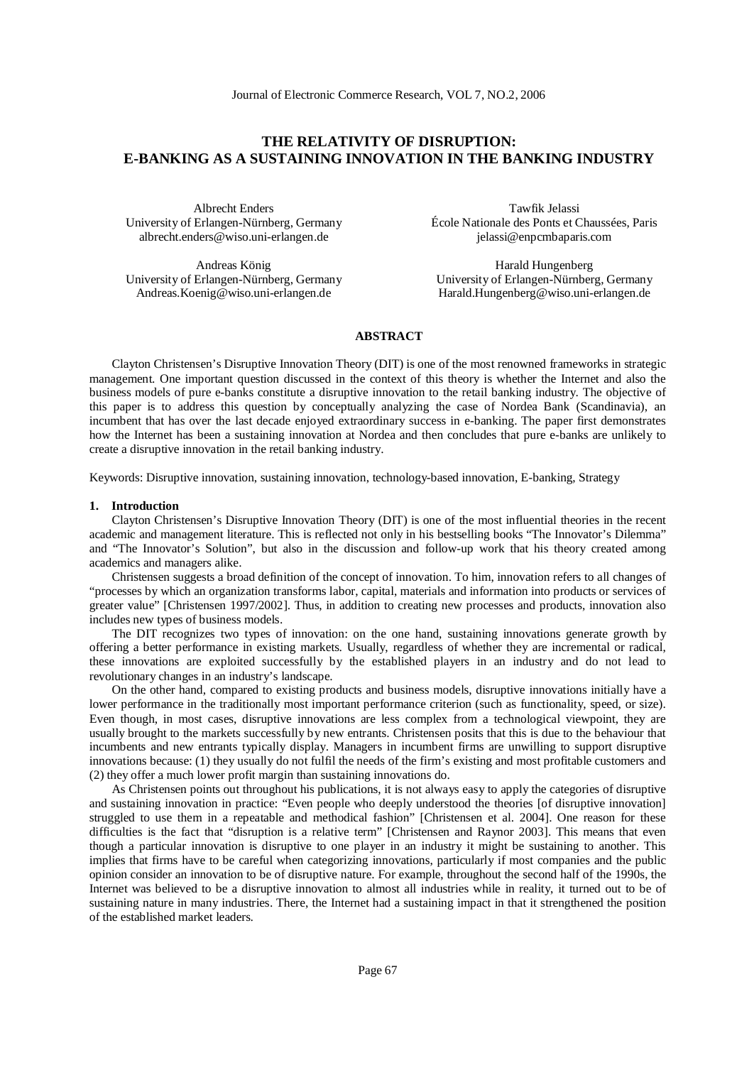# **THE RELATIVITY OF DISRUPTION: E-BANKING AS A SUSTAINING INNOVATION IN THE BANKING INDUSTRY**

Albrecht Enders University of Erlangen-Nürnberg, Germany [albrecht.enders@wiso.uni-erlangen.de](mailto:albrecht.enders@wiso.uni-erlangen.de)

Andreas König University of Erlangen-Nürnberg, Germany [Andreas.Koenig@wiso.uni-erlangen.de](mailto:Andreas.Koenig@wiso.uni-erlangen.de)

Tawfik Jelassi École Nationale des Ponts et Chaussées, Paris [jelassi@enpcmbaparis.com](mailto:jelassi@enpcmbaparis.com)

Harald Hungenberg University of Erlangen-Nürnberg, Germany [Harald.Hungenberg@wiso.uni-erlangen.de](mailto:Harald.Hungenberg@wiso.uni-erlangen.de)

## **ABSTRACT**

Clayton Christensen's Disruptive Innovation Theory (DIT) is one of the most renowned frameworks in strategic management. One important question discussed in the context of this theory is whether the Internet and also the business models of pure e-banks constitute a disruptive innovation to the retail banking industry. The objective of this paper is to address this question by conceptually analyzing the case of Nordea Bank (Scandinavia), an incumbent that has over the last decade enjoyed extraordinary success in e-banking. The paper first demonstrates how the Internet has been a sustaining innovation at Nordea and then concludes that pure e-banks are unlikely to create a disruptive innovation in the retail banking industry.

Keywords: Disruptive innovation, sustaining innovation, technology-based innovation, E-banking, Strategy

#### **1. Introduction**

Clayton Christensen's Disruptive Innovation Theory (DIT) is one of the most influential theories in the recent academic and management literature. This is reflected not only in his bestselling books "The Innovator's Dilemma" and "The Innovator's Solution", but also in the discussion and follow-up work that his theory created among academics and managers alike.

Christensen suggests a broad definition of the concept of innovation. To him, innovation refers to all changes of "processes by which an organization transforms labor, capital, materials and information into products or services of greater value" [Christensen 1997/2002]. Thus, in addition to creating new processes and products, innovation also includes new types of business models.

The DIT recognizes two types of innovation: on the one hand, sustaining innovations generate growth by offering a better performance in existing markets. Usually, regardless of whether they are incremental or radical, these innovations are exploited successfully by the established players in an industry and do not lead to revolutionary changes in an industry's landscape.

On the other hand, compared to existing products and business models, disruptive innovations initially have a lower performance in the traditionally most important performance criterion (such as functionality, speed, or size). Even though, in most cases, disruptive innovations are less complex from a technological viewpoint, they are usually brought to the markets successfully by new entrants. Christensen posits that this is due to the behaviour that incumbents and new entrants typically display. Managers in incumbent firms are unwilling to support disruptive innovations because: (1) they usually do not fulfil the needs of the firm's existing and most profitable customers and (2) they offer a much lower profit margin than sustaining innovations do.

As Christensen points out throughout his publications, it is not always easy to apply the categories of disruptive and sustaining innovation in practice: "Even people who deeply understood the theories [of disruptive innovation] struggled to use them in a repeatable and methodical fashion" [Christensen et al. 2004]. One reason for these difficulties is the fact that "disruption is a relative term" [Christensen and Raynor 2003]. This means that even though a particular innovation is disruptive to one player in an industry it might be sustaining to another. This implies that firms have to be careful when categorizing innovations, particularly if most companies and the public opinion consider an innovation to be of disruptive nature. For example, throughout the second half of the 1990s, the Internet was believed to be a disruptive innovation to almost all industries while in reality, it turned out to be of sustaining nature in many industries. There, the Internet had a sustaining impact in that it strengthened the position of the established market leaders.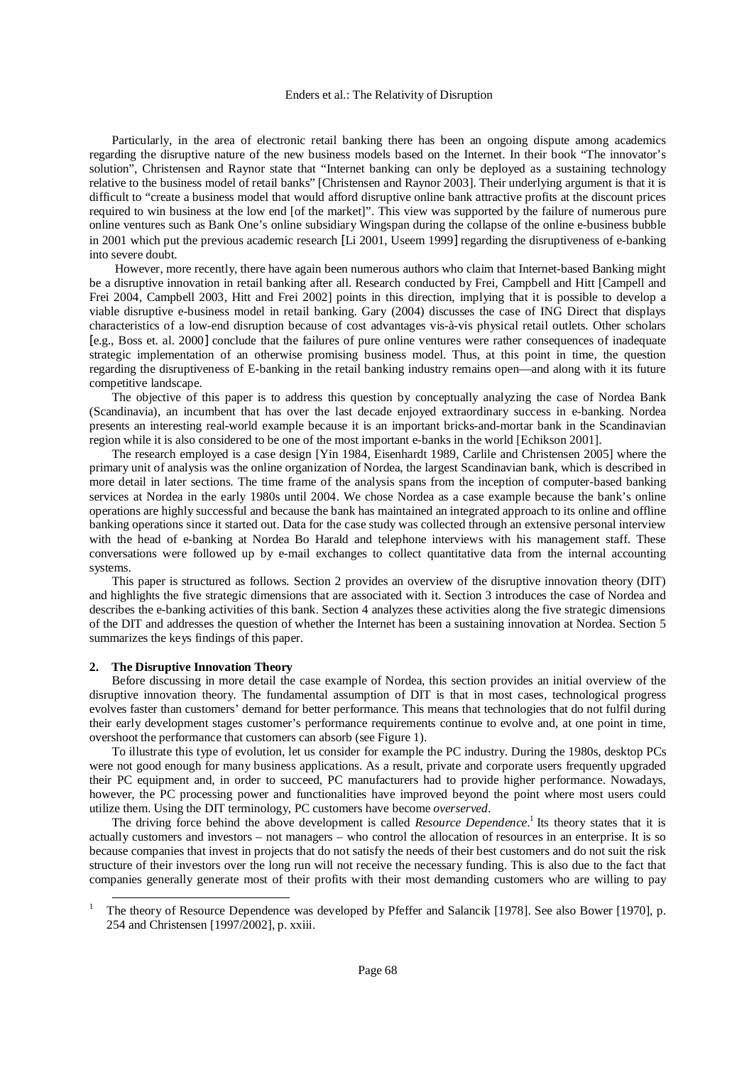#### Enders et al.: The Relativity of Disruption

Particularly, in the area of electronic retail banking there has been an ongoing dispute among academics regarding the disruptive nature of the new business models based on the Internet. In their book "The innovator's solution", Christensen and Raynor state that "Internet banking can only be deployed as a sustaining technology relative to the business model of retail banks" [Christensen and Raynor 2003]. Their underlying argument is that it is difficult to "create a business model that would afford disruptive online bank attractive profits at the discount prices required to win business at the low end [of the market]". This view was supported by the failure of numerous pure online ventures such as Bank One's online subsidiary Wingspan during the collapse of the online e-business bubble in 2001 which put the previous academic research [Li 2001, Useem 1999] regarding the disruptiveness of e-banking into severe doubt.

However, more recently, there have again been numerous authors who claim that Internet-based Banking might be a disruptive innovation in retail banking after all. Research conducted by Frei, Campbell and Hitt [Campell and Frei 2004, Campbell 2003, Hitt and Frei 2002] points in this direction, implying that it is possible to develop a viable disruptive e-business model in retail banking. Gary (2004) discusses the case of ING Direct that displays characteristics of a low-end disruption because of cost advantages vis-à-vis physical retail outlets. Other scholars [e.g., Boss et. al. 2000] conclude that the failures of pure online ventures were rather consequences of inadequate strategic implementation of an otherwise promising business model. Thus, at this point in time, the question regarding the disruptiveness of E-banking in the retail banking industry remains open—and along with it its future competitive landscape.

The objective of this paper is to address this question by conceptually analyzing the case of Nordea Bank (Scandinavia), an incumbent that has over the last decade enjoyed extraordinary success in e-banking. Nordea presents an interesting real-world example because it is an important bricks-and-mortar bank in the Scandinavian region while it is also considered to be one of the most important e-banks in the world [Echikson 2001].

The research employed is a case design [Yin 1984, Eisenhardt 1989, Carlile and Christensen 2005] where the primary unit of analysis was the online organization of Nordea, the largest Scandinavian bank, which is described in more detail in later sections. The time frame of the analysis spans from the inception of computer-based banking services at Nordea in the early 1980s until 2004. We chose Nordea as a case example because the bank's online operations are highly successful and because the bank has maintained an integrated approach to its online and offline banking operations since it started out. Data for the case study was collected through an extensive personal interview with the head of e-banking at Nordea Bo Harald and telephone interviews with his management staff. These conversations were followed up by e-mail exchanges to collect quantitative data from the internal accounting systems.

This paper is structured as follows. Section 2 provides an overview of the disruptive innovation theory (DIT) and highlights the five strategic dimensions that are associated with it. Section 3 introduces the case of Nordea and describes the e-banking activities of this bank. Section 4 analyzes these activities along the five strategic dimensions of the DIT and addresses the question of whether the Internet has been a sustaining innovation at Nordea. Section 5 summarizes the keys findings of this paper.

### **2. The Disruptive Innovation Theory**

l

Before discussing in more detail the case example of Nordea, this section provides an initial overview of the disruptive innovation theory. The fundamental assumption of DIT is that in most cases, technological progress evolves faster than customers' demand for better performance. This means that technologies that do not fulfil during their early development stages customer's performance requirements continue to evolve and, at one point in time, overshoot the performance that customers can absorb (see Figure 1).

To illustrate this type of evolution, let us consider for example the PC industry. During the 1980s, desktop PCs were not good enough for many business applications. As a result, private and corporate users frequently upgraded their PC equipment and, in order to succeed, PC manufacturers had to provide higher performance. Nowadays, however, the PC processing power and functionalities have improved beyond the point where most users could utilize them. Using the DIT terminology, PC customers have become *overserved*.

The driving force behind the above development is called *Resource Dependence*.<sup>1</sup> Its theory states that it is actually customers and investors – not managers – who control the allocation of resources in an enterprise. It is so because companies that invest in projects that do not satisfy the needs of their best customers and do not suit the risk structure of their investors over the long run will not receive the necessary funding. This is also due to the fact that companies generally generate most of their profits with their most demanding customers who are willing to pay

<sup>1</sup> The theory of Resource Dependence was developed by Pfeffer and Salancik [1978]. See also Bower [1970], p. 254 and Christensen [1997/2002], p. xxiii.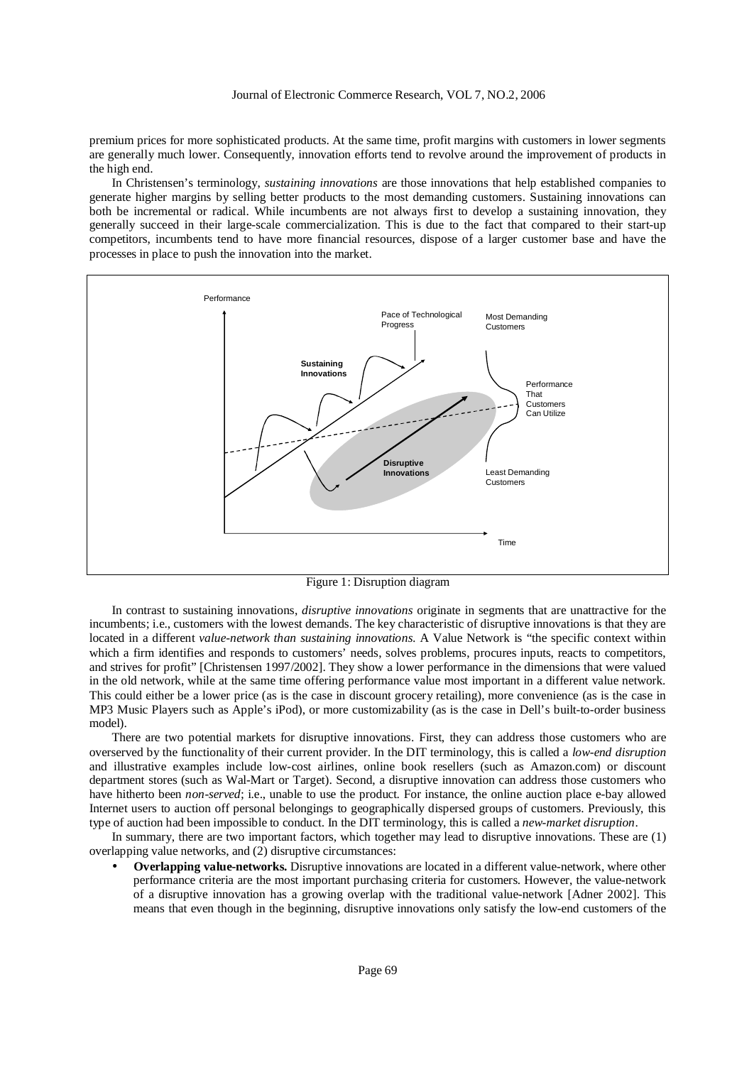premium prices for more sophisticated products. At the same time, profit margins with customers in lower segments are generally much lower. Consequently, innovation efforts tend to revolve around the improvement of products in the high end.

In Christensen's terminology, *sustaining innovations* are those innovations that help established companies to generate higher margins by selling better products to the most demanding customers. Sustaining innovations can both be incremental or radical. While incumbents are not always first to develop a sustaining innovation, they generally succeed in their large-scale commercialization. This is due to the fact that compared to their start-up competitors, incumbents tend to have more financial resources, dispose of a larger customer base and have the processes in place to push the innovation into the market.



Figure 1: Disruption diagram

In contrast to sustaining innovations, *disruptive innovations* originate in segments that are unattractive for the incumbents; i.e., customers with the lowest demands. The key characteristic of disruptive innovations is that they are located in a different *value-network than sustaining innovations.* A Value Network is "the specific context within which a firm identifies and responds to customers' needs, solves problems, procures inputs, reacts to competitors, and strives for profit" [Christensen 1997/2002]. They show a lower performance in the dimensions that were valued in the old network, while at the same time offering performance value most important in a different value network. This could either be a lower price (as is the case in discount grocery retailing), more convenience (as is the case in MP3 Music Players such as Apple's iPod), or more customizability (as is the case in Dell's built-to-order business model).

There are two potential markets for disruptive innovations. First, they can address those customers who are overserved by the functionality of their current provider. In the DIT terminology, this is called a *low-end disruption* and illustrative examples include low-cost airlines, online book resellers (such as Amazon.com) or discount department stores (such as Wal-Mart or Target). Second, a disruptive innovation can address those customers who have hitherto been *non-served*; i.e., unable to use the product. For instance, the online auction place e-bay allowed Internet users to auction off personal belongings to geographically dispersed groups of customers. Previously, this type of auction had been impossible to conduct. In the DIT terminology, this is called a *new-market disruption*.

In summary, there are two important factors, which together may lead to disruptive innovations. These are (1) overlapping value networks, and (2) disruptive circumstances:

• **Overlapping value-networks.** Disruptive innovations are located in a different value-network, where other performance criteria are the most important purchasing criteria for customers. However, the value-network of a disruptive innovation has a growing overlap with the traditional value-network [Adner 2002]. This means that even though in the beginning, disruptive innovations only satisfy the low-end customers of the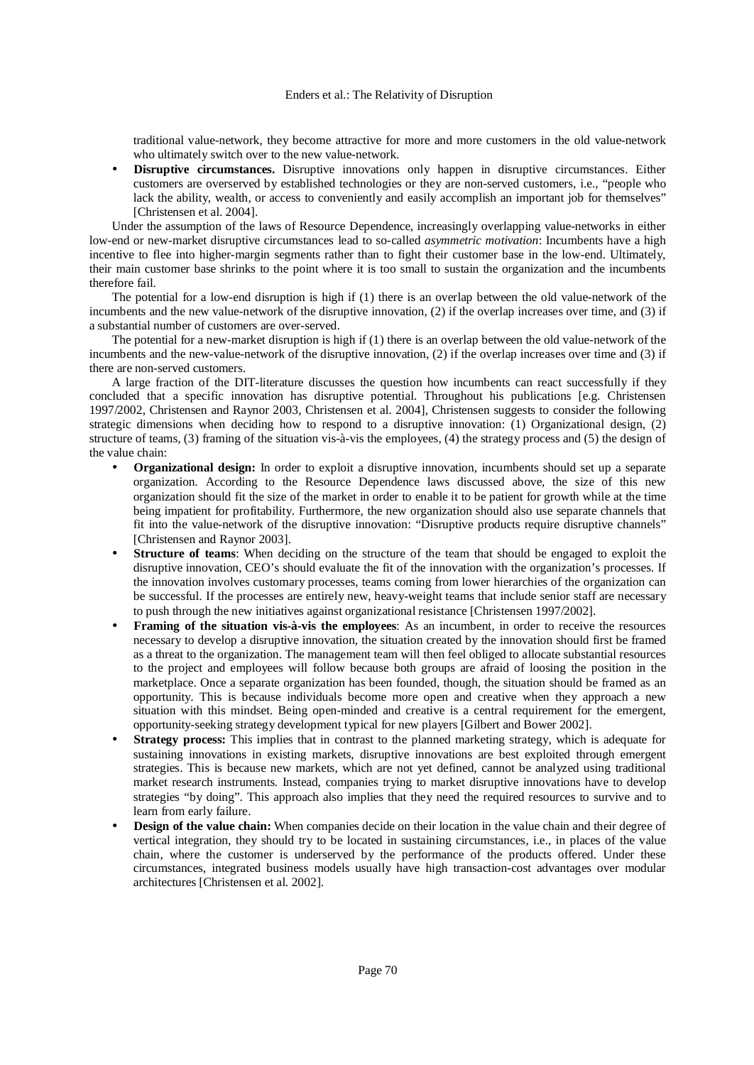traditional value-network, they become attractive for more and more customers in the old value-network who ultimately switch over to the new value-network.

• **Disruptive circumstances.** Disruptive innovations only happen in disruptive circumstances. Either customers are overserved by established technologies or they are non-served customers, i.e., "people who lack the ability, wealth, or access to conveniently and easily accomplish an important job for themselves" [Christensen et al. 2004].

Under the assumption of the laws of Resource Dependence, increasingly overlapping value-networks in either low-end or new-market disruptive circumstances lead to so-called *asymmetric motivation*: Incumbents have a high incentive to flee into higher-margin segments rather than to fight their customer base in the low-end. Ultimately, their main customer base shrinks to the point where it is too small to sustain the organization and the incumbents therefore fail.

The potential for a low-end disruption is high if (1) there is an overlap between the old value-network of the incumbents and the new value-network of the disruptive innovation, (2) if the overlap increases over time, and (3) if a substantial number of customers are over-served.

The potential for a new-market disruption is high if (1) there is an overlap between the old value-network of the incumbents and the new-value-network of the disruptive innovation, (2) if the overlap increases over time and (3) if there are non-served customers.

A large fraction of the DIT-literature discusses the question how incumbents can react successfully if they concluded that a specific innovation has disruptive potential. Throughout his publications [e.g. Christensen 1997/2002, Christensen and Raynor 2003, Christensen et al. 2004], Christensen suggests to consider the following strategic dimensions when deciding how to respond to a disruptive innovation: (1) Organizational design, (2) structure of teams, (3) framing of the situation vis-à-vis the employees, (4) the strategy process and (5) the design of the value chain:

- **Organizational design:** In order to exploit a disruptive innovation, incumbents should set up a separate organization. According to the Resource Dependence laws discussed above, the size of this new organization should fit the size of the market in order to enable it to be patient for growth while at the time being impatient for profitability. Furthermore, the new organization should also use separate channels that fit into the value-network of the disruptive innovation: "Disruptive products require disruptive channels" [Christensen and Raynor 2003].
- **Structure of teams**: When deciding on the structure of the team that should be engaged to exploit the disruptive innovation, CEO's should evaluate the fit of the innovation with the organization's processes. If the innovation involves customary processes, teams coming from lower hierarchies of the organization can be successful. If the processes are entirely new, heavy-weight teams that include senior staff are necessary to push through the new initiatives against organizational resistance [Christensen 1997/2002].
- **Framing of the situation vis-à-vis the employees**: As an incumbent, in order to receive the resources necessary to develop a disruptive innovation, the situation created by the innovation should first be framed as a threat to the organization. The management team will then feel obliged to allocate substantial resources to the project and employees will follow because both groups are afraid of loosing the position in the marketplace. Once a separate organization has been founded, though, the situation should be framed as an opportunity. This is because individuals become more open and creative when they approach a new situation with this mindset. Being open-minded and creative is a central requirement for the emergent, opportunity-seeking strategy development typical for new players [Gilbert and Bower 2002].
- **Strategy process:** This implies that in contrast to the planned marketing strategy, which is adequate for sustaining innovations in existing markets, disruptive innovations are best exploited through emergent strategies. This is because new markets, which are not yet defined, cannot be analyzed using traditional market research instruments. Instead, companies trying to market disruptive innovations have to develop strategies "by doing". This approach also implies that they need the required resources to survive and to learn from early failure.
- **Design of the value chain:** When companies decide on their location in the value chain and their degree of vertical integration, they should try to be located in sustaining circumstances, i.e., in places of the value chain, where the customer is underserved by the performance of the products offered. Under these circumstances, integrated business models usually have high transaction-cost advantages over modular architectures [Christensen et al. 2002].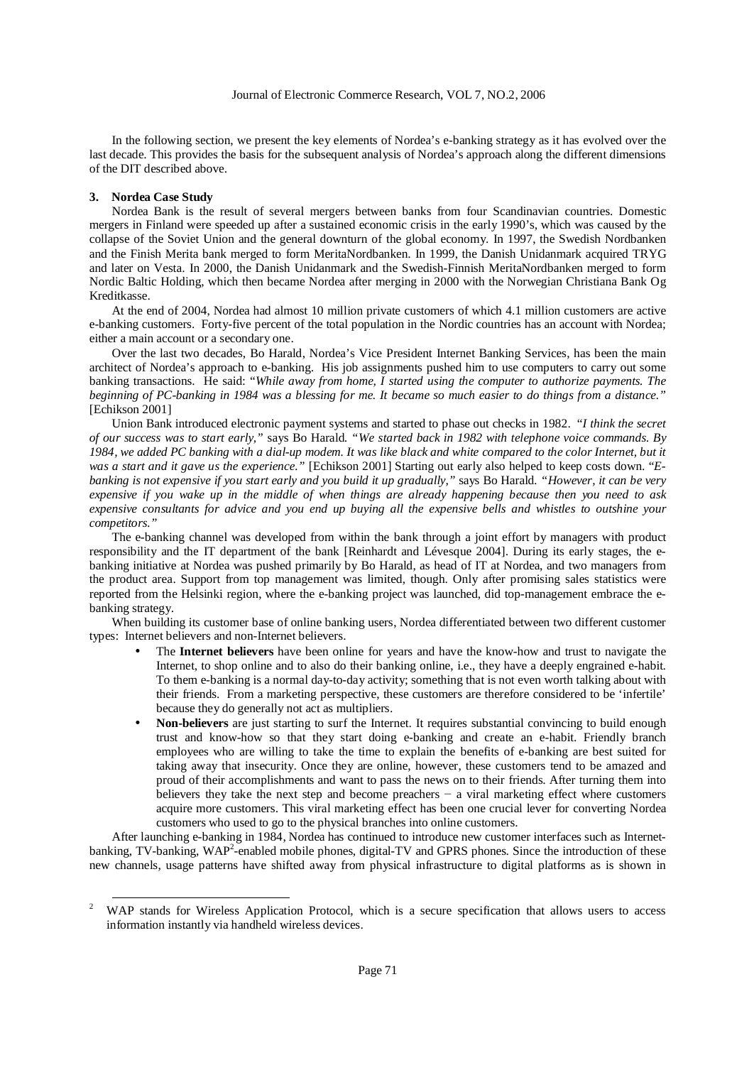In the following section, we present the key elements of Nordea's e-banking strategy as it has evolved over the last decade. This provides the basis for the subsequent analysis of Nordea's approach along the different dimensions of the DIT described above.

### **3. Nordea Case Study**

l

Nordea Bank is the result of several mergers between banks from four Scandinavian countries. Domestic mergers in Finland were speeded up after a sustained economic crisis in the early 1990's, which was caused by the collapse of the Soviet Union and the general downturn of the global economy. In 1997, the Swedish Nordbanken and the Finish Merita bank merged to form MeritaNordbanken. In 1999, the Danish Unidanmark acquired TRYG and later on Vesta. In 2000, the Danish Unidanmark and the Swedish-Finnish MeritaNordbanken merged to form Nordic Baltic Holding, which then became Nordea after merging in 2000 with the Norwegian Christiana Bank Og Kreditkasse.

At the end of 2004, Nordea had almost 10 million private customers of which 4.1 million customers are active e-banking customers. Forty-five percent of the total population in the Nordic countries has an account with Nordea; either a main account or a secondary one.

Over the last two decades, Bo Harald, Nordea's Vice President Internet Banking Services, has been the main architect of Nordea's approach to e-banking. His job assignments pushed him to use computers to carry out some banking transactions. He said: "*While away from home, I started using the computer to authorize payments. The*  beginning of PC-banking in 1984 was a blessing for me. It became so much easier to do things from a distance." [Echikson 2001]

Union Bank introduced electronic payment systems and started to phase out checks in 1982. "*I think the secret*  of our success was to start early," says Bo Harald. "We started back in 1982 with telephone voice commands. By 1984, we added PC banking with a dial-up modem. It was like black and white compared to the color Internet, but it *was a start and it gave us the experience."* [Echikson 2001] Starting out early also helped to keep costs down. "*E*banking is not expensive if you start early and you build it up gradually," says Bo Harald. "However, it can be very expensive if you wake up in the middle of when things are already happening because then you need to ask expensive consultants for advice and you end up buying all the expensive bells and whistles to outshine your *competitors."* 

The e-banking channel was developed from within the bank through a joint effort by managers with product responsibility and the IT department of the bank [Reinhardt and Lévesque 2004]. During its early stages, the ebanking initiative at Nordea was pushed primarily by Bo Harald, as head of IT at Nordea, and two managers from the product area. Support from top management was limited, though. Only after promising sales statistics were reported from the Helsinki region, where the e-banking project was launched, did top-management embrace the ebanking strategy.

When building its customer base of online banking users, Nordea differentiated between two different customer types: Internet believers and non-Internet believers.

- The **Internet believers** have been online for years and have the know-how and trust to navigate the Internet, to shop online and to also do their banking online, i.e., they have a deeply engrained e-habit. To them e-banking is a normal day-to-day activity; something that is not even worth talking about with their friends. From a marketing perspective, these customers are therefore considered to be 'infertile' because they do generally not act as multipliers.
- **Non-believers** are just starting to surf the Internet. It requires substantial convincing to build enough trust and know-how so that they start doing e-banking and create an e-habit. Friendly branch employees who are willing to take the time to explain the benefits of e-banking are best suited for taking away that insecurity. Once they are online, however, these customers tend to be amazed and proud of their accomplishments and want to pass the news on to their friends. After turning them into believers they take the next step and become preachers − a viral marketing effect where customers acquire more customers. This viral marketing effect has been one crucial lever for converting Nordea customers who used to go to the physical branches into online customers.

After launching e-banking in 1984, Nordea has continued to introduce new customer interfaces such as Internetbanking, TV-banking, WAP<sup>2</sup>-enabled mobile phones, digital-TV and GPRS phones. Since the introduction of these new channels, usage patterns have shifted away from physical infrastructure to digital platforms as is shown in

<sup>&</sup>lt;sup>2</sup> WAP stands for Wireless Application Protocol, which is a secure specification that allows users to access information instantly via handheld wireless devices.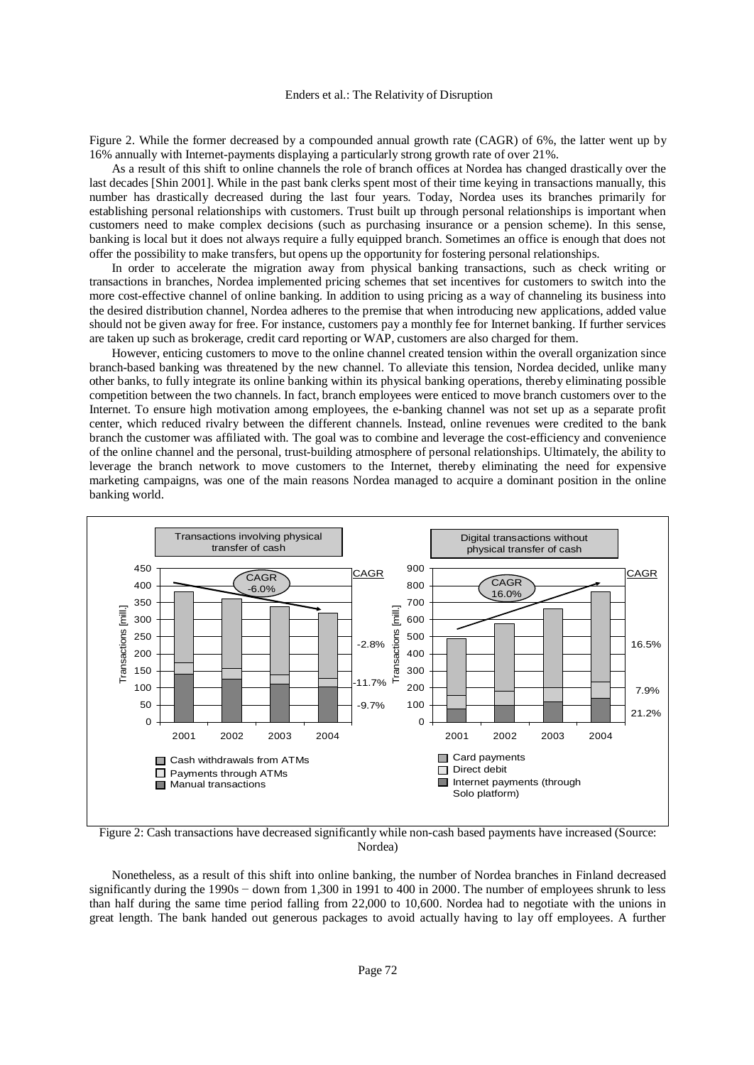#### Enders et al.: The Relativity of Disruption

Figure 2. While the former decreased by a compounded annual growth rate (CAGR) of 6%, the latter went up by 16% annually with Internet-payments displaying a particularly strong growth rate of over 21%.

As a result of this shift to online channels the role of branch offices at Nordea has changed drastically over the last decades [Shin 2001]. While in the past bank clerks spent most of their time keying in transactions manually, this number has drastically decreased during the last four years. Today, Nordea uses its branches primarily for establishing personal relationships with customers. Trust built up through personal relationships is important when customers need to make complex decisions (such as purchasing insurance or a pension scheme). In this sense, banking is local but it does not always require a fully equipped branch. Sometimes an office is enough that does not offer the possibility to make transfers, but opens up the opportunity for fostering personal relationships.

In order to accelerate the migration away from physical banking transactions, such as check writing or transactions in branches, Nordea implemented pricing schemes that set incentives for customers to switch into the more cost-effective channel of online banking. In addition to using pricing as a way of channeling its business into the desired distribution channel, Nordea adheres to the premise that when introducing new applications, added value should not be given away for free. For instance, customers pay a monthly fee for Internet banking. If further services are taken up such as brokerage, credit card reporting or WAP, customers are also charged for them.

However, enticing customers to move to the online channel created tension within the overall organization since branch-based banking was threatened by the new channel. To alleviate this tension, Nordea decided, unlike many other banks, to fully integrate its online banking within its physical banking operations, thereby eliminating possible competition between the two channels. In fact, branch employees were enticed to move branch customers over to the Internet. To ensure high motivation among employees, the e-banking channel was not set up as a separate profit center, which reduced rivalry between the different channels. Instead, online revenues were credited to the bank branch the customer was affiliated with. The goal was to combine and leverage the cost-efficiency and convenience of the online channel and the personal, trust-building atmosphere of personal relationships. Ultimately, the ability to leverage the branch network to move customers to the Internet, thereby eliminating the need for expensive marketing campaigns, was one of the main reasons Nordea managed to acquire a dominant position in the online banking world.



Figure 2: Cash transactions have decreased significantly while non-cash based payments have increased (Source: Nordea)

Nonetheless, as a result of this shift into online banking, the number of Nordea branches in Finland decreased significantly during the 1990s − down from 1,300 in 1991 to 400 in 2000. The number of employees shrunk to less than half during the same time period falling from 22,000 to 10,600. Nordea had to negotiate with the unions in great length. The bank handed out generous packages to avoid actually having to lay off employees. A further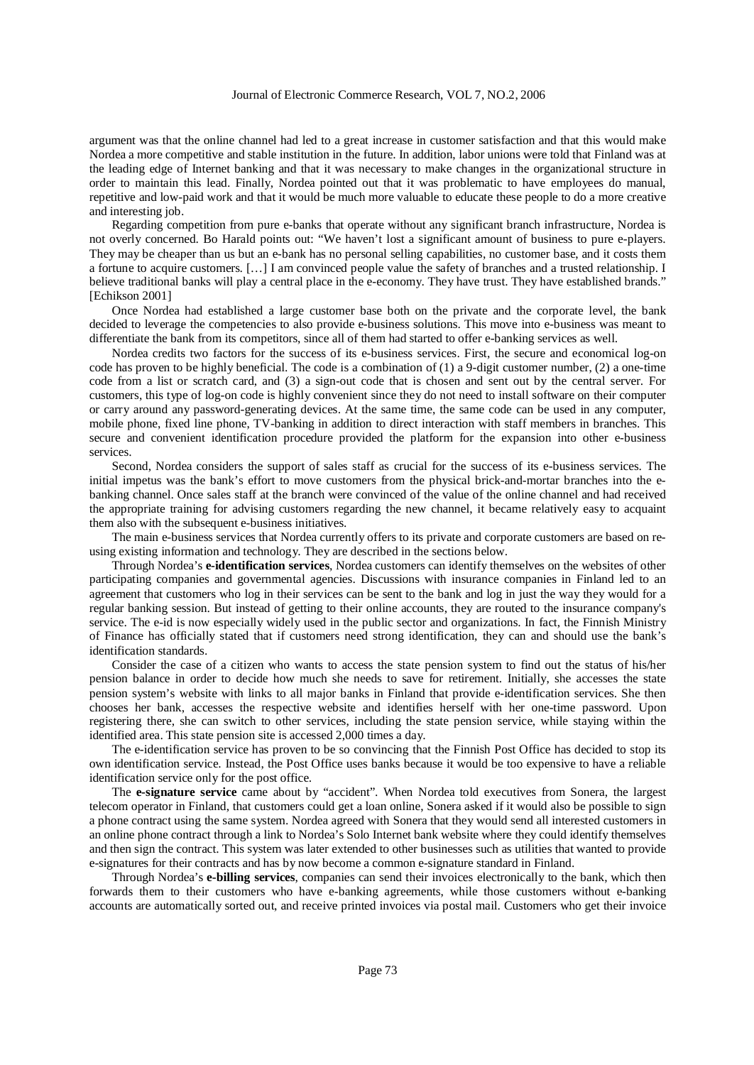#### Journal of Electronic Commerce Research, VOL 7, NO.2, 2006

argument was that the online channel had led to a great increase in customer satisfaction and that this would make Nordea a more competitive and stable institution in the future. In addition, labor unions were told that Finland was at the leading edge of Internet banking and that it was necessary to make changes in the organizational structure in order to maintain this lead. Finally, Nordea pointed out that it was problematic to have employees do manual, repetitive and low-paid work and that it would be much more valuable to educate these people to do a more creative and interesting job.

Regarding competition from pure e-banks that operate without any significant branch infrastructure, Nordea is not overly concerned. Bo Harald points out: "We haven't lost a significant amount of business to pure e-players. They may be cheaper than us but an e-bank has no personal selling capabilities, no customer base, and it costs them a fortune to acquire customers. […] I am convinced people value the safety of branches and a trusted relationship. I believe traditional banks will play a central place in the e-economy. They have trust. They have established brands." [Echikson 2001]

Once Nordea had established a large customer base both on the private and the corporate level, the bank decided to leverage the competencies to also provide e-business solutions. This move into e-business was meant to differentiate the bank from its competitors, since all of them had started to offer e-banking services as well.

Nordea credits two factors for the success of its e-business services. First, the secure and economical log-on code has proven to be highly beneficial. The code is a combination of  $(1)$  a 9-digit customer number,  $(2)$  a one-time code from a list or scratch card, and (3) a sign-out code that is chosen and sent out by the central server. For customers, this type of log-on code is highly convenient since they do not need to install software on their computer or carry around any password-generating devices. At the same time, the same code can be used in any computer, mobile phone, fixed line phone, TV-banking in addition to direct interaction with staff members in branches. This secure and convenient identification procedure provided the platform for the expansion into other e-business services.

Second, Nordea considers the support of sales staff as crucial for the success of its e-business services. The initial impetus was the bank's effort to move customers from the physical brick-and-mortar branches into the ebanking channel. Once sales staff at the branch were convinced of the value of the online channel and had received the appropriate training for advising customers regarding the new channel, it became relatively easy to acquaint them also with the subsequent e-business initiatives.

The main e-business services that Nordea currently offers to its private and corporate customers are based on reusing existing information and technology. They are described in the sections below.

Through Nordea's **e-identification services**, Nordea customers can identify themselves on the websites of other participating companies and governmental agencies. Discussions with insurance companies in Finland led to an agreement that customers who log in their services can be sent to the bank and log in just the way they would for a regular banking session. But instead of getting to their online accounts, they are routed to the insurance company's service. The e-id is now especially widely used in the public sector and organizations. In fact, the Finnish Ministry of Finance has officially stated that if customers need strong identification, they can and should use the bank's identification standards.

Consider the case of a citizen who wants to access the state pension system to find out the status of his/her pension balance in order to decide how much she needs to save for retirement. Initially, she accesses the state pension system's website with links to all major banks in Finland that provide e-identification services. She then chooses her bank, accesses the respective website and identifies herself with her one-time password. Upon registering there, she can switch to other services, including the state pension service, while staying within the identified area. This state pension site is accessed 2,000 times a day.

The e-identification service has proven to be so convincing that the Finnish Post Office has decided to stop its own identification service. Instead, the Post Office uses banks because it would be too expensive to have a reliable identification service only for the post office.

The **e-signature service** came about by "accident". When Nordea told executives from Sonera, the largest telecom operator in Finland, that customers could get a loan online, Sonera asked if it would also be possible to sign a phone contract using the same system. Nordea agreed with Sonera that they would send all interested customers in an online phone contract through a link to Nordea's Solo Internet bank website where they could identify themselves and then sign the contract. This system was later extended to other businesses such as utilities that wanted to provide e-signatures for their contracts and has by now become a common e-signature standard in Finland.

Through Nordea's **e-billing services**, companies can send their invoices electronically to the bank, which then forwards them to their customers who have e-banking agreements, while those customers without e-banking accounts are automatically sorted out, and receive printed invoices via postal mail. Customers who get their invoice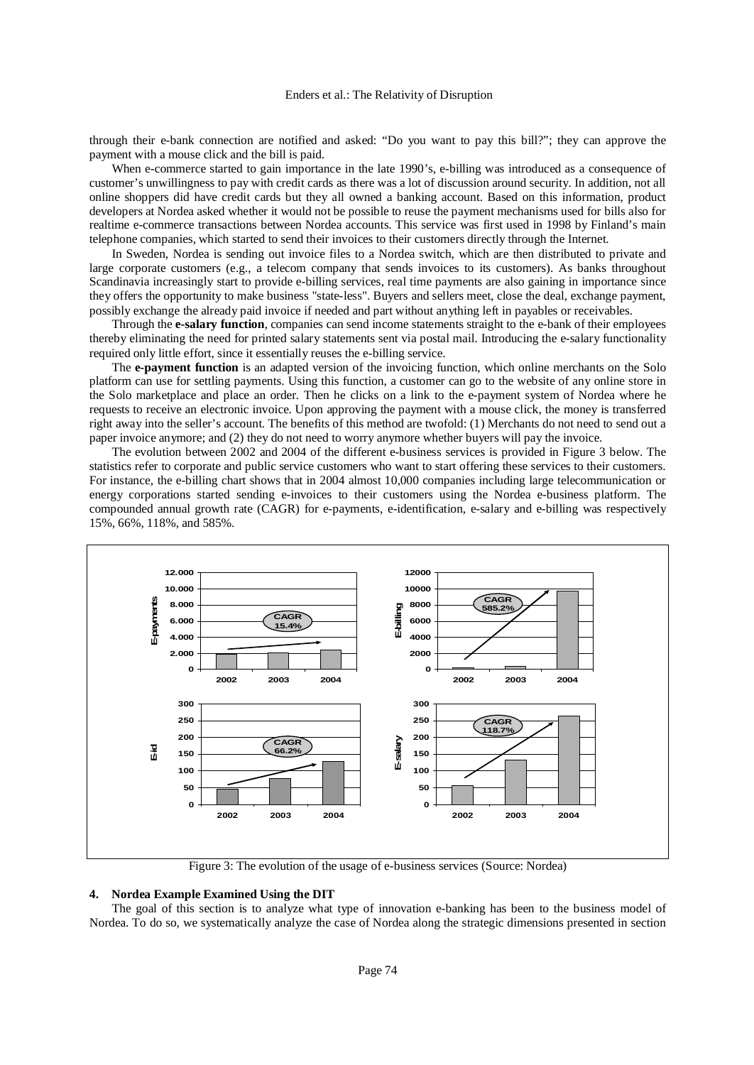### Enders et al.: The Relativity of Disruption

through their e-bank connection are notified and asked: "Do you want to pay this bill?"; they can approve the payment with a mouse click and the bill is paid.

When e-commerce started to gain importance in the late 1990's, e-billing was introduced as a consequence of customer's unwillingness to pay with credit cards as there was a lot of discussion around security. In addition, not all online shoppers did have credit cards but they all owned a banking account. Based on this information, product developers at Nordea asked whether it would not be possible to reuse the payment mechanisms used for bills also for realtime e-commerce transactions between Nordea accounts. This service was first used in 1998 by Finland's main telephone companies, which started to send their invoices to their customers directly through the Internet.

In Sweden, Nordea is sending out invoice files to a Nordea switch, which are then distributed to private and large corporate customers (e.g., a telecom company that sends invoices to its customers). As banks throughout Scandinavia increasingly start to provide e-billing services, real time payments are also gaining in importance since they offers the opportunity to make business "state-less". Buyers and sellers meet, close the deal, exchange payment, possibly exchange the already paid invoice if needed and part without anything left in payables or receivables.

Through the **e-salary function**, companies can send income statements straight to the e-bank of their employees thereby eliminating the need for printed salary statements sent via postal mail. Introducing the e-salary functionality required only little effort, since it essentially reuses the e-billing service.

The **e-payment function** is an adapted version of the invoicing function, which online merchants on the Solo platform can use for settling payments. Using this function, a customer can go to the website of any online store in the Solo marketplace and place an order. Then he clicks on a link to the e-payment system of Nordea where he requests to receive an electronic invoice. Upon approving the payment with a mouse click, the money is transferred right away into the seller's account. The benefits of this method are twofold: (1) Merchants do not need to send out a paper invoice anymore; and (2) they do not need to worry anymore whether buyers will pay the invoice.

The evolution between 2002 and 2004 of the different e-business services is provided in Figure 3 below. The statistics refer to corporate and public service customers who want to start offering these services to their customers. For instance, the e-billing chart shows that in 2004 almost 10,000 companies including large telecommunication or energy corporations started sending e-invoices to their customers using the Nordea e-business platform. The compounded annual growth rate (CAGR) for e-payments, e-identification, e-salary and e-billing was respectively 15%, 66%, 118%, and 585%.



Figure 3: The evolution of the usage of e-business services (Source: Nordea)

# **4. Nordea Example Examined Using the DIT**

The goal of this section is to analyze what type of innovation e-banking has been to the business model of Nordea. To do so, we systematically analyze the case of Nordea along the strategic dimensions presented in section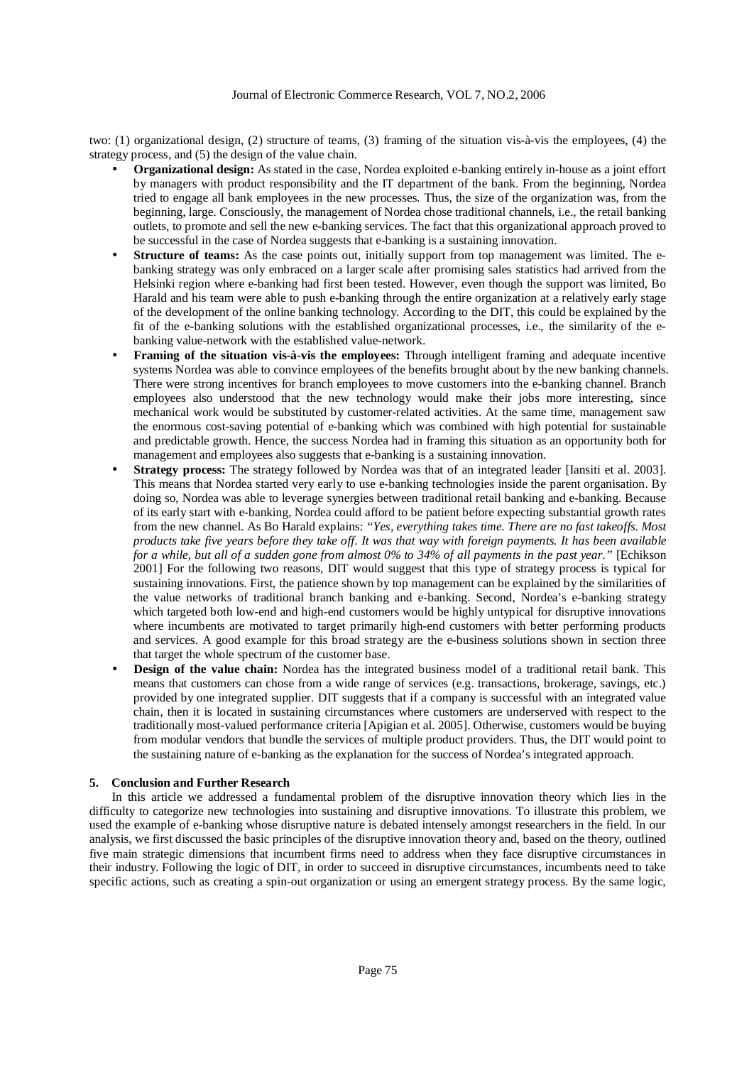two: (1) organizational design, (2) structure of teams, (3) framing of the situation vis-à-vis the employees, (4) the strategy process, and (5) the design of the value chain.

- **Organizational design:** As stated in the case, Nordea exploited e-banking entirely in-house as a joint effort by managers with product responsibility and the IT department of the bank. From the beginning, Nordea tried to engage all bank employees in the new processes. Thus, the size of the organization was, from the beginning, large. Consciously, the management of Nordea chose traditional channels, i.e., the retail banking outlets, to promote and sell the new e-banking services. The fact that this organizational approach proved to be successful in the case of Nordea suggests that e-banking is a sustaining innovation.
- **Structure of teams:** As the case points out, initially support from top management was limited. The ebanking strategy was only embraced on a larger scale after promising sales statistics had arrived from the Helsinki region where e-banking had first been tested. However, even though the support was limited, Bo Harald and his team were able to push e-banking through the entire organization at a relatively early stage of the development of the online banking technology. According to the DIT, this could be explained by the fit of the e-banking solutions with the established organizational processes, i.e., the similarity of the ebanking value-network with the established value-network.
- **Framing of the situation vis-à-vis the employees:** Through intelligent framing and adequate incentive systems Nordea was able to convince employees of the benefits brought about by the new banking channels. There were strong incentives for branch employees to move customers into the e-banking channel. Branch employees also understood that the new technology would make their jobs more interesting, since mechanical work would be substituted by customer-related activities. At the same time, management saw the enormous cost-saving potential of e-banking which was combined with high potential for sustainable and predictable growth. Hence, the success Nordea had in framing this situation as an opportunity both for management and employees also suggests that e-banking is a sustaining innovation.
- **Strategy process:** The strategy followed by Nordea was that of an integrated leader [Iansiti et al. 2003]. This means that Nordea started very early to use e-banking technologies inside the parent organisation. By doing so, Nordea was able to leverage synergies between traditional retail banking and e-banking. Because of its early start with e-banking, Nordea could afford to be patient before expecting substantial growth rates from the new channel. As Bo Harald explains: *"Yes, everything takes time. There are no fast takeoffs. Most*  products take five years before they take off. It was that way with foreign payments. It has been available for a while, but all of a sudden gone from almost 0% to 34% of all payments in the past year." [Echikson 2001] For the following two reasons, DIT would suggest that this type of strategy process is typical for sustaining innovations. First, the patience shown by top management can be explained by the similarities of the value networks of traditional branch banking and e-banking. Second, Nordea's e-banking strategy which targeted both low-end and high-end customers would be highly untypical for disruptive innovations where incumbents are motivated to target primarily high-end customers with better performing products and services. A good example for this broad strategy are the e-business solutions shown in section three that target the whole spectrum of the customer base.
- **Design of the value chain:** Nordea has the integrated business model of a traditional retail bank. This means that customers can chose from a wide range of services (e.g. transactions, brokerage, savings, etc.) provided by one integrated supplier. DIT suggests that if a company is successful with an integrated value chain, then it is located in sustaining circumstances where customers are underserved with respect to the traditionally most-valued performance criteria [Apigian et al. 2005]. Otherwise, customers would be buying from modular vendors that bundle the services of multiple product providers. Thus, the DIT would point to the sustaining nature of e-banking as the explanation for the success of Nordea's integrated approach.

### **5. Conclusion and Further Research**

In this article we addressed a fundamental problem of the disruptive innovation theory which lies in the difficulty to categorize new technologies into sustaining and disruptive innovations. To illustrate this problem, we used the example of e-banking whose disruptive nature is debated intensely amongst researchers in the field. In our analysis, we first discussed the basic principles of the disruptive innovation theory and, based on the theory, outlined five main strategic dimensions that incumbent firms need to address when they face disruptive circumstances in their industry. Following the logic of DIT, in order to succeed in disruptive circumstances, incumbents need to take specific actions, such as creating a spin-out organization or using an emergent strategy process. By the same logic,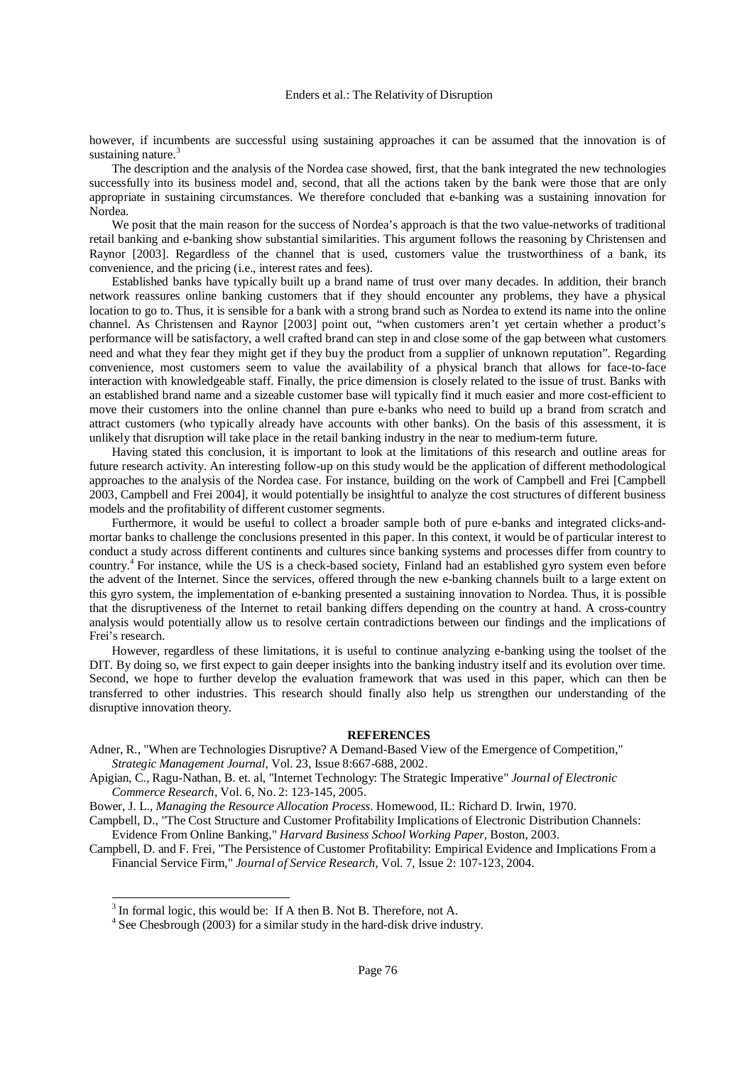however, if incumbents are successful using sustaining approaches it can be assumed that the innovation is of sustaining nature.<sup>3</sup>

The description and the analysis of the Nordea case showed, first, that the bank integrated the new technologies successfully into its business model and, second, that all the actions taken by the bank were those that are only appropriate in sustaining circumstances. We therefore concluded that e-banking was a sustaining innovation for Nordea.

We posit that the main reason for the success of Nordea's approach is that the two value-networks of traditional retail banking and e-banking show substantial similarities. This argument follows the reasoning by Christensen and Raynor [2003]. Regardless of the channel that is used, customers value the trustworthiness of a bank, its convenience, and the pricing (i.e., interest rates and fees).

Established banks have typically built up a brand name of trust over many decades. In addition, their branch network reassures online banking customers that if they should encounter any problems, they have a physical location to go to. Thus, it is sensible for a bank with a strong brand such as Nordea to extend its name into the online channel. As Christensen and Raynor [2003] point out, "when customers aren't yet certain whether a product's performance will be satisfactory, a well crafted brand can step in and close some of the gap between what customers need and what they fear they might get if they buy the product from a supplier of unknown reputation". Regarding convenience, most customers seem to value the availability of a physical branch that allows for face-to-face interaction with knowledgeable staff. Finally, the price dimension is closely related to the issue of trust. Banks with an established brand name and a sizeable customer base will typically find it much easier and more cost-efficient to move their customers into the online channel than pure e-banks who need to build up a brand from scratch and attract customers (who typically already have accounts with other banks). On the basis of this assessment, it is unlikely that disruption will take place in the retail banking industry in the near to medium-term future.

Having stated this conclusion, it is important to look at the limitations of this research and outline areas for future research activity. An interesting follow-up on this study would be the application of different methodological approaches to the analysis of the Nordea case. For instance, building on the work of Campbell and Frei [Campbell 2003, Campbell and Frei 2004], it would potentially be insightful to analyze the cost structures of different business models and the profitability of different customer segments.

Furthermore, it would be useful to collect a broader sample both of pure e-banks and integrated clicks-andmortar banks to challenge the conclusions presented in this paper. In this context, it would be of particular interest to conduct a study across different continents and cultures since banking systems and processes differ from country to country. 4 For instance, while the US is a check-based society, Finland had an established gyro system even before the advent of the Internet. Since the services, offered through the new e-banking channels built to a large extent on this gyro system, the implementation of e-banking presented a sustaining innovation to Nordea. Thus, it is possible that the disruptiveness of the Internet to retail banking differs depending on the country at hand. A cross-country analysis would potentially allow us to resolve certain contradictions between our findings and the implications of Frei's research.

However, regardless of these limitations, it is useful to continue analyzing e-banking using the toolset of the DIT. By doing so, we first expect to gain deeper insights into the banking industry itself and its evolution over time. Second, we hope to further develop the evaluation framework that was used in this paper, which can then be transferred to other industries. This research should finally also help us strengthen our understanding of the disruptive innovation theory.

### **REFERENCES**

Adner, R., "When are Technologies Disruptive? A Demand-Based View of the Emergence of Competition," *Strategic Management Journal*, Vol. 23, Issue 8:667-688, 2002.

Apigian, C., Ragu-Nathan, B. et. al, "Internet Technology: The Strategic Imperative" *Journal of Electronic Commerce Research,* Vol. 6, No. 2: 123-145, 2005.

Bower, J. L., *Managing the Resource Allocation Process*. Homewood, IL: Richard D. Irwin, 1970.

Campbell, D., "The Cost Structure and Customer Profitability Implications of Electronic Distribution Channels: Evidence From Online Banking," *Harvard Business School Working Paper,* Boston, 2003.

Campbell, D. and F. Frei, "The Persistence of Customer Profitability: Empirical Evidence and Implications From a Financial Service Firm," *Journal of Service Research,* Vol. 7, Issue 2: 107-123, 2004.

l

<sup>3</sup> In formal logic, this would be: If A then B. Not B. Therefore, not A.

<sup>&</sup>lt;sup>4</sup> See Chesbrough (2003) for a similar study in the hard-disk drive industry.